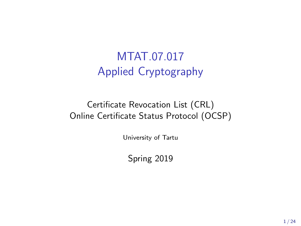# MTAT.07.017 Applied Cryptography

### Certificate Revocation List (CRL) Online Certificate Status Protocol (OCSP)

University of Tartu

Spring 2019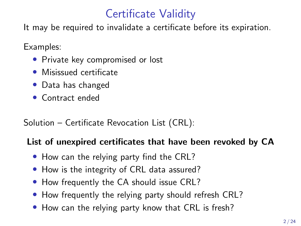## Certificate Validity

It may be required to invalidate a certificate before its expiration.

Examples:

- Private key compromised or lost
- Misissued certificate
- Data has changed
- Contract ended

### Solution – Certificate Revocation List (CRL):

### List of unexpired certificates that have been revoked by CA

- How can the relying party find the CRL?
- How is the integrity of CRL data assured?
- How frequently the CA should issue CRL?
- How frequently the relying party should refresh CRL?
- How can the relying party know that CRL is fresh?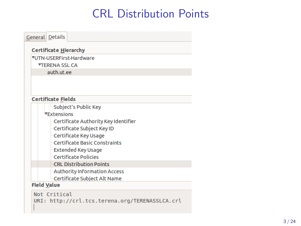# CRL Distribution Points

| <b>General</b> Details       |                                                |  |  |  |  |
|------------------------------|------------------------------------------------|--|--|--|--|
| <b>Certificate Hierarchy</b> |                                                |  |  |  |  |
| ▼UTN-USERFirst-Hardware      |                                                |  |  |  |  |
| <b>TTERENA SSL CA</b>        |                                                |  |  |  |  |
| auth.ut.ee                   |                                                |  |  |  |  |
|                              |                                                |  |  |  |  |
|                              |                                                |  |  |  |  |
|                              | <b>Certificate Fields</b>                      |  |  |  |  |
|                              | Subject's Public Key                           |  |  |  |  |
| <b>Extensions</b>            |                                                |  |  |  |  |
|                              | Certificate Authority Key Identifier           |  |  |  |  |
|                              | Certificate Subject Key ID                     |  |  |  |  |
|                              | Certificate Key Usage                          |  |  |  |  |
|                              | Certificate Basic Constraints                  |  |  |  |  |
|                              | <b>Extended Key Usage</b>                      |  |  |  |  |
|                              | Certificate Policies                           |  |  |  |  |
|                              | <b>CRL Distribution Points</b>                 |  |  |  |  |
|                              | Authority Information Access                   |  |  |  |  |
|                              | Certificate Subject Alt Name                   |  |  |  |  |
| <b>Field Value</b>           |                                                |  |  |  |  |
|                              | Not Critical                                   |  |  |  |  |
|                              | URI: http://crl.tcs.terena.org/TERENASSLCA.crl |  |  |  |  |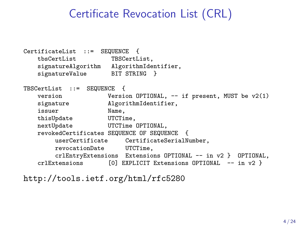## Certificate Revocation List (CRL)

```
CertificateList ::= SEQUENCE {
   tbsCertList TBSCertList,
   signatureAlgorithm AlgorithmIdentifier,
   signatureValue BIT STRING }
TBSCertList ::= SEQUENCE {
   version Version OPTIONAL, -- if present, MUST be v2(1)
   signature AlgorithmIdentifier,
   issuer Name,
   thisUpdate UTCTime,
   nextUpdate UTCTime OPTIONAL,
   revokedCertificates SEQUENCE OF SEQUENCE {
                           CertificateSerialNumber,
        revocationDate UTCTime,
   crlEntryExtensions Extensions OPTIONAL -- in v2 } OPTIONAL,<br>crlExtensions [0] EXPLICIT Extensions OPTIONAL -- in v2 }
                       [0] EXPLICIT Extensions OPTIONAL -- in v2 }
```
<http://tools.ietf.org/html/rfc5280>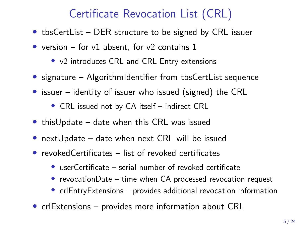# Certificate Revocation List (CRL)

- tbsCertList DER structure to be signed by CRL issuer
- version for v1 absent, for v2 contains  $1$ 
	- v2 introduces CRL and CRL Entry extensions
- signature AlgorithmIdentifier from tbsCertList sequence
- issuer identity of issuer who issued (signed) the CRL
	- CRL issued not by CA itself indirect CRL
- thisUpdate date when this CRL was issued
- nextUpdate date when next CRL will be issued
- revokedCertificates list of revoked certificates
	- userCertificate serial number of revoked certificate
	- revocationDate time when CA processed revocation request
	- crlEntryExtensions provides additional revocation information
- crlExtensions provides more information about CRL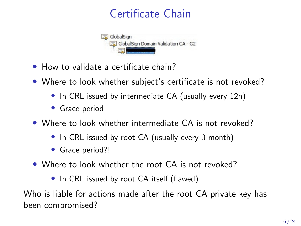# Certificate Chain



- How to validate a certificate chain?
- Where to look whether subject's certificate is not revoked?
	- In CRL issued by intermediate CA (usually every 12h)
	- Grace period
- Where to look whether intermediate CA is not revoked?
	- In CRL issued by root CA (usually every 3 month)
	- Grace period?!
- Where to look whether the root CA is not revoked?
	- In CRL issued by root CA itself (flawed)

Who is liable for actions made after the root CA private key has been compromised?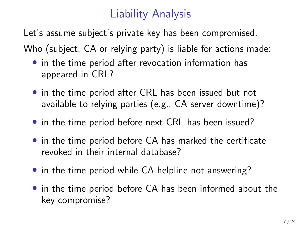# Liability Analysis

Let's assume subject's private key has been compromised.

Who (subject, CA or relying party) is liable for actions made:

- in the time period after revocation information has appeared in CRL?
- in the time period after CRL has been issued but not available to relying parties (e.g., CA server downtime)?
- in the time period before next CRL has been issued?
- in the time period before CA has marked the certificate revoked in their internal database?
- in the time period while CA helpline not answering?
- in the time period before CA has been informed about the key compromise?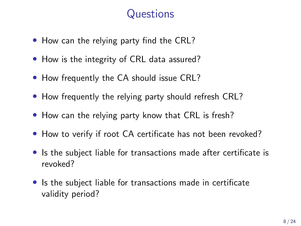## **Questions**

- How can the relying party find the CRL?
- How is the integrity of CRL data assured?
- How frequently the CA should issue CRL?
- How frequently the relying party should refresh CRL?
- How can the relying party know that CRL is fresh?
- How to verify if root CA certificate has not been revoked?
- Is the subject liable for transactions made after certificate is revoked?
- Is the subject liable for transactions made in certificate validity period?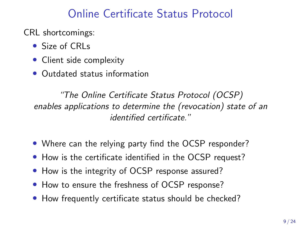### Online Certificate Status Protocol

CRL shortcomings:

- Size of CRLs
- Client side complexity
- Outdated status information

"The Online Certificate Status Protocol (OCSP) enables applications to determine the (revocation) state of an identified certificate."

- Where can the relying party find the OCSP responder?
- How is the certificate identified in the OCSP request?
- How is the integrity of OCSP response assured?
- How to ensure the freshness of OCSP response?
- How frequently certificate status should be checked?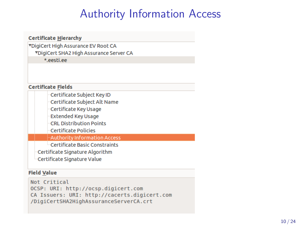## Authority Information Access

#### **Certificate Hierarchy**

▼DigiCert High Assurance EV Root CA **VDigiCert SHA2 High Assurance Server CA** \*.eesti.ee

#### **Certificate Fields**

Certificate Subject Key ID

Certificate Subject Alt Name

Certificate Key Usage

**Extended Key Usage** 

**CRL Distribution Points** 

**Certificate Policies** 

Authority Information Access

<sup>i...</sup>Certificate Basic Constraints

Certificate Signature Algorithm

Certificate Signature Value

#### **Field Value**

Not Critical OCSP: URI: http://ocsp.digicert.com CA Issuers: URI: http://cacerts.digicert.com /DigiCertSHA2HighAssuranceServerCA.crt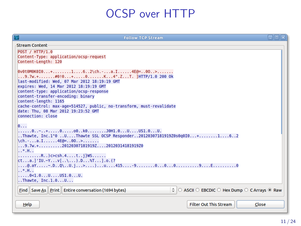## OCSP over HTTP

| <b>Follow TCP Stream</b>                                                                                                                                                          | eloix |  |  |  |  |
|-----------------------------------------------------------------------------------------------------------------------------------------------------------------------------------|-------|--|--|--|--|
| Stream Content                                                                                                                                                                    |       |  |  |  |  |
| POST / HTTP/1.0<br>Content-Type: application/ocsp-request<br>Content-Length: 120                                                                                                  |       |  |  |  |  |
| $\theta$ v0t0M0K0I0+162\ch.-a.I4E@=00><br>9.7w.+#0!0+0K4".ZT. ]HTTP/1.0 200 Ok<br>last-modified: Wed. 07 Mar 2012 18:19:19 GMT<br>expires: Wed. 14 Mar 2012 18:19:19 GMT          |       |  |  |  |  |
| content-type: application/ocsp-response<br>content-transfer-encoding: binary<br>content-length: 1165<br>cache-control: max-aqe=514527, public, no-transform, must-revalidate      |       |  |  |  |  |
| date: Thu. 08 Mar 2012 19:23:52 GMT<br>connection: close                                                                                                                          |       |  |  |  |  |
| $\theta$<br>$\ldots 0 \ldots 0 \ldots + \ldots 0 \ldots 0 \ldots 0$ k0J0H1.0UUS1.0U.<br>Thawte, $Inc.1"0U$ Thawte SSL OCSP Responder20120307181919Z0s0q0I0+162<br>\ch.-a.I4E@=00> |       |  |  |  |  |
| $\ldots$ 9.7w.+ $\ldots$ 20120307181919Z20120314181919Z0<br>1.3, 1.1                                                                                                              |       |  |  |  |  |
| $\ldots \ldots \ldots$ R. . ) $\infty$ csh.4t j}WS<br>$cta.1'IU.~YV[\\]$ .D $T1.0.(?$<br>$*.H$                                                                                    |       |  |  |  |  |
| $ 0 < 1.0$ $1.0$ $1.0$ $1051.0$<br>$$ Thawte, Inc.1.0U                                                                                                                            |       |  |  |  |  |
| ○ ASCII ○ EBCDIC ○ Hex Dump ○ C Arrays ● Raw<br>Find   Save As   Print   Entire conversation (1694 bytes)                                                                         |       |  |  |  |  |
| <b>Filter Out This Stream</b><br>Close<br>Help                                                                                                                                    |       |  |  |  |  |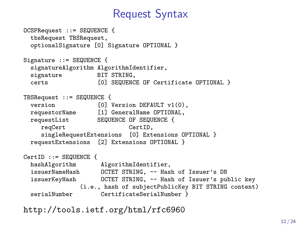### Request Syntax

```
OCSPRequest ::= SEQUENCE {
 tbsRequest TBSRequest,
 optionalSignature [0] Signature OPTIONAL }
Signature ::= SEQUENCE {
 signatureAlgorithm AlgorithmIdentifier,<br>signature BIT STRING.
 signature
 certs [0] SEQUENCE OF Certificate OPTIONAL }
TBSRequest ::= SEQUENCE {
 version [0] Version DEFAULT v1(0),
 requestorName [1] GeneralName OPTIONAL,
 requestList SEQUENCE OF SEQUENCE {
    reqCert CertID,
    singleRequestExtensions [0] Extensions OPTIONAL }
 requestExtensions [2] Extensions OPTIONAL }
CertID ::= SEQUENCE {
 hashAlgorithm AlgorithmIdentifier,
 issuerNameHash OCTET STRING, -- Hash of Issuer's DN
 issuerKeyHash OCTET STRING, -- Hash of Issuer's public key
               (i.e., hash of subjectPublicKey BIT STRING content)
 serialNumber CertificateSerialNumber }
```
<http://tools.ietf.org/html/rfc6960>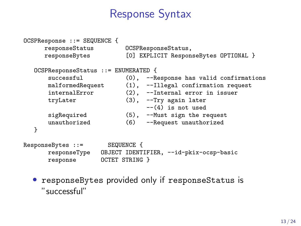### Response Syntax

```
OCSPResponse ::= SEQUENCE {
       responseStatus OCSPResponseStatus,
                                  [0] EXPLICIT ResponseBytes OPTIONAL }
   OCSPResponseStatus ::= ENUMERATED {
        successful (0), --Response has valid confirmations<br>malformedRequest (1), --Illegal confirmation request
        malformedRequest (1), --Illegal confirmation request<br>internalError (2). --Internal error in issuer
                                  (2), --Internal error in issuer
        tryLater (3), --Try again later
                                        --(4) is not used
        sigRequired (5), --Must sign the request<br>unauthorized (6) --Request unauthorized
                                  unauthorized (6) --Request unauthorized
   }
ResponseBytes ::= SEQUENCE {
        responseType OBJECT IDENTIFIER, --id-pkix-ocsp-basic
                      OCTET STRING }
```
• responseBytes provided only if responseStatus is "successful"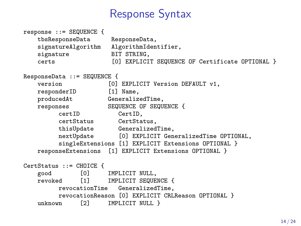### Response Syntax

```
response ::= SEQUENCE {
   tbsResponseData ResponseData,
    signatureAlgorithm AlgorithmIdentifier,<br>signature BIT STRING,
                        BIT STRING,
    certs [0] EXPLICIT SEQUENCE OF Certificate OPTIONAL }
ResponseData ::= SEQUENCE {<br>version [0]
                   [0] EXPLICIT Version DEFAULT v1,
   responderID [1] Name.
   producedAt GeneralizedTime,
   responses SEQUENCE OF SEQUENCE {
         certID CertID,
         certStatus CertStatus,
         thisUpdate GeneralizedTime,<br>nextUpdate [0] EXPLICIT Gen
                       [0] EXPLICIT GeneralizedTime OPTIONAL,
         singleExtensions [1] EXPLICIT Extensions OPTIONAL }
   responseExtensions [1] EXPLICIT Extensions OPTIONAL }
CertStatus ::= CHOICE {<br>good [0]
               [0] IMPLICIT NULL,
   revoked [1] IMPLICIT SEQUENCE {
         revocationTime GeneralizedTime,
         revocationReason [0] EXPLICIT CRLReason OPTIONAL }
    unknown [2] IMPLICIT NULL }
```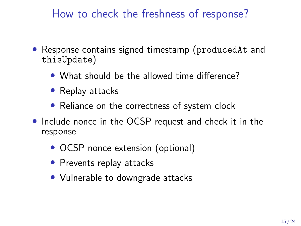How to check the freshness of response?

- Response contains signed timestamp (producedAt and thisUpdate)
	- What should be the allowed time difference?
	- Replay attacks
	- Reliance on the correctness of system clock
- Include nonce in the OCSP request and check it in the response
	- OCSP nonce extension (optional)
	- Prevents replay attacks
	- Vulnerable to downgrade attacks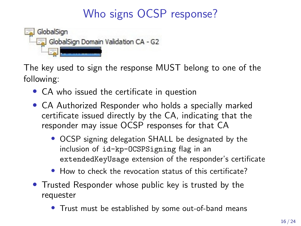# Who signs OCSP response?



The key used to sign the response MUST belong to one of the following:

- CA who issued the certificate in question
- CA Authorized Responder who holds a specially marked certificate issued directly by the CA, indicating that the responder may issue OCSP responses for that CA
	- OCSP signing delegation SHALL be designated by the inclusion of id-kp-OCSPSigning flag in an extendedKeyUsage extension of the responder's certificate
	- How to check the revocation status of this certificate?
- Trusted Responder whose public key is trusted by the requester
	- Trust must be established by some out-of-band means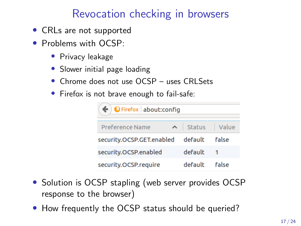# Revocation checking in browsers

- CRLs are not supported
- Problems with OCSP:
	- Privacy leakage
	- Slower initial page loading
	- Chrome does not use OCSP uses CRI Sets
	- Firefox is not brave enough to fail-safe:

| $\blacklozenge$ $\blacktriangleright$ $\blacktriangleright$ Firefox   about: config |  |                 |       |  |  |
|-------------------------------------------------------------------------------------|--|-----------------|-------|--|--|
| <b>Preference Name</b>                                                              |  | No Status Value |       |  |  |
| security.OCSP.GET.enabled default                                                   |  |                 | false |  |  |
| security.OCSP.enabled                                                               |  | default         |       |  |  |
| security.OCSP.require                                                               |  | default         | false |  |  |

- Solution is OCSP stapling (web server provides OCSP response to the browser)
- How frequently the OCSP status should be queried?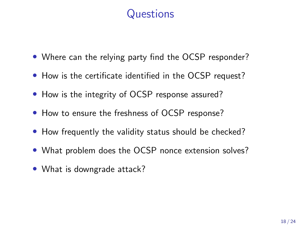## **Questions**

- Where can the relying party find the OCSP responder?
- How is the certificate identified in the OCSP request?
- How is the integrity of OCSP response assured?
- How to ensure the freshness of OCSP response?
- How frequently the validity status should be checked?
- What problem does the OCSP nonce extension solves?
- What is downgrade attack?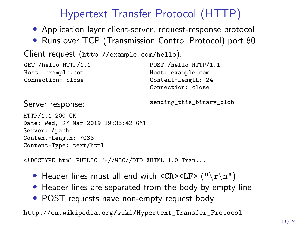# Hypertext Transfer Protocol (HTTP)

- Application layer client-server, request-response protocol
- Runs over TCP (Transmission Control Protocol) port 80

```
Client request (http://example.com/hello):
```

```
GET /hello HTTP/1.1
Host: example.com
Connection: close
                                    POST /hello HTTP/1.1
                                    Host: example.com
                                    Content-Length: 24
                                    Connection: close
```
Server response: sending\_this\_binary\_blob

HTTP/1.1 200 OK Date: Wed, 27 Mar 2019 19:35:42 GMT Server: Apache Content-Length: 7033 Content-Type: text/html

<!DOCTYPE html PUBLIC "-//W3C//DTD XHTML 1.0 Tran...

- Header lines must all end with  $\langle CR \rangle \langle LF \rangle$  (" $\langle r \rangle n$ ")
- Header lines are separated from the body by empty line
- POST requests have non-empty request body

[http://en.wikipedia.org/wiki/Hypertext\\_Transfer\\_Protocol](http://en.wikipedia.org/wiki/Hypertext_Transfer_Protocol)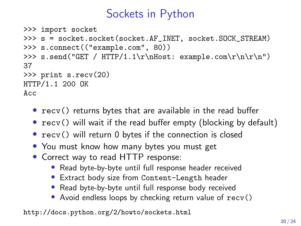## Sockets in Python

```
>>> import socket
>>> s = socket.socket(socket.AF_INET, socket.SOCK_STREAM)
>>> s.connect(("example.com", 80))
>>> s.send("GET / HTTP/1.1\r\nHost: example.com\r\n\r\n")
37
>>> print s.recv(20)
HTTP/1.1 200 OK
Acc
```
- recv() returns bytes that are available in the read buffer
- recv() will wait if the read buffer empty (blocking by default)
- recv() will return 0 bytes if the connection is closed
- You must know how many bytes you must get
- Correct way to read HTTP response:
	- Read byte-by-byte until full response header received
	- Extract body size from Content-Length header
	- Read byte-by-byte until full response body received
	- Avoid endless loops by checking return value of recv()

<http://docs.python.org/2/howto/sockets.html>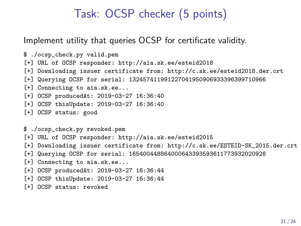### Task: OCSP checker (5 points)

Implement utility that queries OCSP for certificate validity.

\$ ./ocsp\_check.py valid.pem [+] URL of OCSP responder: http://aia.sk.ee/esteid2018 [+] Downloading issuer certificate from: http://c.sk.ee/esteid2018.der.crt [+] Querying OCSP for serial: 132457411991227041950906933396399710966 [+] Connecting to aia.sk.ee... [+] OCSP producedAt: 2019-03-27 16:36:40 [+] OCSP thisUpdate: 2019-03-27 16:36:40 [+] OCSP status: good

\$ ./ocsp\_check.py revoked.pem [+] URL of OCSP responder: http://aia.sk.ee/esteid2015 [+] Downloading issuer certificate from: http://c.sk.ee/ESTEID-SK\_2015.der.crt [+] Querying OCSP for serial: 165400448864000643393593611773932020928 [+] Connecting to aia.sk.ee... [+] OCSP producedAt: 2019-03-27 16:36:44 [+] OCSP thisUpdate: 2019-03-27 16:36:44 [+] OCSP status: revoked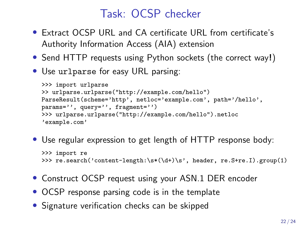## Task: OCSP checker

- Extract OCSP URL and CA certificate URL from certificate's Authority Information Access (AIA) extension
- Send HTTP requests using Python sockets (the correct way!)
- Use urlparse for easy URL parsing:

```
>>> import urlparse
>> urlparse.urlparse("http://example.com/hello")
ParseResult(scheme='http', netloc='example.com', path='/hello',
params='', query='', fragment='')
>>> urlparse.urlparse("http://example.com/hello").netloc
'example.com'
```
• Use regular expression to get length of HTTP response body:

```
>>> import re
>>> re.search('content-length:\s*(\d+)\s', header, re.S+re.I).group(1)
```
- Construct OCSP request using your ASN.1 DER encoder
- OCSP response parsing code is in the template
- Signature verification checks can be skipped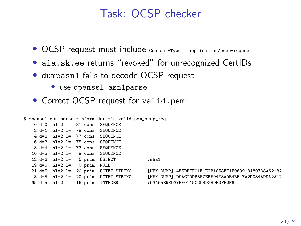### Task: OCSP checker

- OCSP request must include content-Type: application/ocsp-request
- aia.sk.ee returns "revoked" for unrecognized CertIDs
- dumpasn1 fails to decode OCSP request
	- use openssl asn1parse
- Correct OCSP request for valid.pem:

```
$ openssl asn1parse -inform der -in valid.pem_ocsp_req
   0:d=0 hl=2 l= 81 cons: SEQUENCE
   2:d=1 hl=2 l= 79 cons: SEQUENCE
   4:d=2 hl=2 l= 77 cons: SEQUENCE
   6: d=3 hl=2 l= 75 cons: SEQUENCE
   8:d=4 hl=2 l= 73 cons: SEQUENCE
   10:d=5 hl=2 l= 9 cons: SEQUENCE
   12: d=6 hl=2! = 5 prim: OBJECT :sha1
  19:d=6 hl=2 l= 0 prim: NULL<br>21:d=5 hl=2 l= 20 prim: OCTET STRING
  21:d=5 hl=2 l= 20 prim: OCTET STRING [HEX DUMP]:455DBEF01E1E2B1058EF1F969918A80708A62182
  65:d=5 hl=2 l= 16 prim: INTEGER :63A65E9ED37BF0115C2C8928DF0FE2F6
```
FHEX DUMP]:D9AC70DB5F7EBE94F8A0E4BE47A2D034AD9A2A12